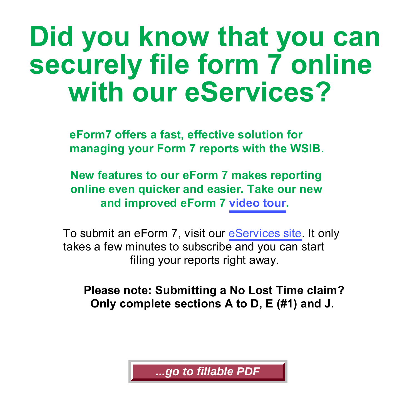## **Did you know that you can securely file form 7 online with our eServices?**

**eForm7 offers a fast, effective solution for managing your Form 7 reports with the WSIB.**

**New features to our eForm 7 makes reporting online even quicker and easier. Take our new and improved eForm 7 [video tour.](http://www.wsib.on.ca/en/community/WSIB/230/StreamLanding/27694?vgnextoid=42430b368d5dd110VgnVCM1000000e18120aRCRD)**

To submit an eForm 7, visit our [eServices site](http://www.wsib.on.ca/en/community/WSIB/230/StreamLanding/27694?vgnextoid=42430b368d5dd110VgnVCM1000000e18120aRCRD). It only takes a few minutes to subscribe and you can start filing your reports right away.

**Please note: Submitting a No Lost Time claim? Only complete sections A to D, E (#1) and J.**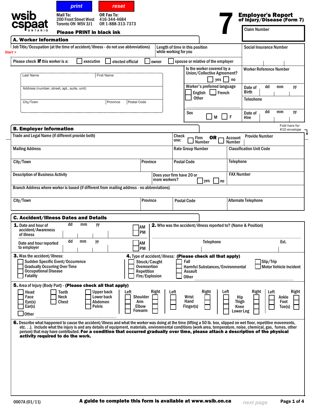|                                                                                                                                                                                                                                                                                                                                                                                                                                                                                                                  |                        |           | <b>Please PRINT in black ink</b>                     | OR 1-888-313-7373 |                                 |                                 |                           |                                 |                                                                |                          | <b>Claim Number</b>             |           |                               |                               |
|------------------------------------------------------------------------------------------------------------------------------------------------------------------------------------------------------------------------------------------------------------------------------------------------------------------------------------------------------------------------------------------------------------------------------------------------------------------------------------------------------------------|------------------------|-----------|------------------------------------------------------|-------------------|---------------------------------|---------------------------------|---------------------------|---------------------------------|----------------------------------------------------------------|--------------------------|---------------------------------|-----------|-------------------------------|-------------------------------|
| <b>A. Worker Information</b>                                                                                                                                                                                                                                                                                                                                                                                                                                                                                     |                        |           |                                                      |                   |                                 |                                 |                           |                                 |                                                                |                          |                                 |           |                               |                               |
| Job Title/Occupation (at the time of accident/illness - do not use abbreviations)<br>Start >                                                                                                                                                                                                                                                                                                                                                                                                                     |                        |           |                                                      |                   |                                 |                                 | while working for you     | Length of time in this position |                                                                |                          | <b>Social Insurance Number</b>  |           |                               |                               |
| Please check <b>if</b> this worker is a:                                                                                                                                                                                                                                                                                                                                                                                                                                                                         |                        | executive |                                                      | elected official  |                                 | owner                           |                           |                                 | spouse or relative of the employer                             |                          |                                 |           |                               |                               |
|                                                                                                                                                                                                                                                                                                                                                                                                                                                                                                                  |                        |           |                                                      |                   |                                 |                                 |                           |                                 | Is the worker covered by a<br>Union/Collective Agreement?      |                          | <b>Worker Reference Number</b>  |           |                               |                               |
| Last Name                                                                                                                                                                                                                                                                                                                                                                                                                                                                                                        |                        |           | First Name                                           |                   |                                 |                                 |                           |                                 | $yes \mid \cdot \mid no$                                       |                          |                                 |           |                               |                               |
| Address (number, street, apt., suite, unit)                                                                                                                                                                                                                                                                                                                                                                                                                                                                      |                        |           |                                                      |                   |                                 |                                 |                           | English<br><b>Other</b>         | Worker's preferred language<br>$\vert$ French                  |                          | Date of<br><b>Birth</b>         | dd        | mm                            | yу                            |
| City/Town                                                                                                                                                                                                                                                                                                                                                                                                                                                                                                        |                        |           | Province                                             |                   | Postal Code                     |                                 |                           |                                 |                                                                |                          | <b>Telephone</b>                |           |                               |                               |
|                                                                                                                                                                                                                                                                                                                                                                                                                                                                                                                  |                        |           |                                                      |                   |                                 |                                 |                           | Sex                             | l M                                                            | F                        | Date of<br>Hire                 | dd        | mm                            | yу                            |
| <b>B. Employer Information</b>                                                                                                                                                                                                                                                                                                                                                                                                                                                                                   |                        |           |                                                      |                   |                                 |                                 |                           |                                 |                                                                |                          |                                 |           |                               | Fold here for<br>#10 envelope |
| Trade and Legal Name (if different provide both)                                                                                                                                                                                                                                                                                                                                                                                                                                                                 |                        |           |                                                      |                   |                                 |                                 | Check<br>one:             | Firm                            | OR -<br><b>Number</b>                                          | Account<br><b>Number</b> | <b>Provide Number</b>           |           |                               |                               |
| <b>Mailing Address</b>                                                                                                                                                                                                                                                                                                                                                                                                                                                                                           |                        |           |                                                      |                   |                                 |                                 |                           | <b>Rate Group Number</b>        |                                                                |                          | <b>Classification Unit Code</b> |           |                               |                               |
| City/Town                                                                                                                                                                                                                                                                                                                                                                                                                                                                                                        |                        |           |                                                      |                   | Province                        |                                 |                           | <b>Postal Code</b>              |                                                                | Telephone                |                                 |           |                               |                               |
| <b>Description of Business Activity</b>                                                                                                                                                                                                                                                                                                                                                                                                                                                                          |                        |           |                                                      |                   |                                 |                                 | Does your firm have 20 or |                                 |                                                                | <b>FAX Number</b>        |                                 |           |                               |                               |
|                                                                                                                                                                                                                                                                                                                                                                                                                                                                                                                  |                        |           |                                                      |                   |                                 | more workers?                   |                           |                                 | yes<br>no                                                      |                          |                                 |           |                               |                               |
| Branch Address where worker is based (if different from mailing address - no abbreviations)                                                                                                                                                                                                                                                                                                                                                                                                                      |                        |           |                                                      |                   |                                 |                                 |                           |                                 |                                                                |                          |                                 |           |                               |                               |
| City/Town                                                                                                                                                                                                                                                                                                                                                                                                                                                                                                        |                        |           |                                                      |                   | <b>Province</b>                 |                                 |                           | <b>Postal Code</b>              |                                                                |                          | <b>Alternate Telephone</b>      |           |                               |                               |
| <b>C. Accident/Illness Dates and Details</b>                                                                                                                                                                                                                                                                                                                                                                                                                                                                     |                        |           |                                                      |                   |                                 |                                 |                           |                                 |                                                                |                          |                                 |           |                               |                               |
| <b>1.</b> Date and hour of<br>accident/Awareness<br>of illness                                                                                                                                                                                                                                                                                                                                                                                                                                                   | dd                     | mm        | yy                                                   |                   | AΜ<br>PM                        |                                 |                           |                                 | 2. Who was the accident/illness reported to? (Name & Position) |                          |                                 |           |                               |                               |
| Date and hour reported<br>to employer                                                                                                                                                                                                                                                                                                                                                                                                                                                                            | dd                     | mm        | yу                                                   |                   | AM<br>PM                        |                                 |                           |                                 | <b>Telephone</b>                                               |                          |                                 |           | Ext.                          |                               |
| <b>3.</b> Was the accident/illness:                                                                                                                                                                                                                                                                                                                                                                                                                                                                              |                        |           |                                                      |                   |                                 |                                 |                           |                                 | 4. Type of accident/illness: (Please check all that apply)     |                          |                                 |           |                               |                               |
| Sudden Specific Event/Occurrence<br><b>Gradually Occurring Over Time</b><br><b>Occupational Disease</b><br><b>Fatality</b>                                                                                                                                                                                                                                                                                                                                                                                       |                        |           |                                                      |                   | Overexertion<br>Repetition      | Struck/Caught<br>Fire/Explosion |                           | Fall<br>Assault<br><b>Other</b> | Harmful Substances/Environmental                               |                          |                                 | Slip/Trip | <b>Motor Vehicle Incident</b> |                               |
| 5. Area of Injury (Body Part) - (Please check all that apply)                                                                                                                                                                                                                                                                                                                                                                                                                                                    |                        |           |                                                      |                   |                                 |                                 |                           |                                 |                                                                |                          |                                 |           |                               |                               |
| Head<br>Face<br>Eye(s)<br>Ear(s)                                                                                                                                                                                                                                                                                                                                                                                                                                                                                 | Teeth<br>Neck<br>Chest |           | <b>Upper back</b><br>Lower back<br>Abdomen<br>Pelvis | Left              | Shoulder<br>Arm<br><b>Elbow</b> | Right                           | Left                      | Wrist<br>Hand<br>Finger(s)      | Right<br>Left                                                  | Hip<br>Thigh<br>Knee     | Right                           | Left      | Ankle<br>Foot<br>Toe(s)       | Right                         |
| <b>Other</b>                                                                                                                                                                                                                                                                                                                                                                                                                                                                                                     |                        |           |                                                      |                   |                                 |                                 |                           |                                 |                                                                |                          |                                 |           |                               |                               |
| 6. Describe what happened to cause the accident/illness and what the worker was doing at the time (lifting a 50 lb. box, slipped on wet floor, repetitive movements,<br>etc). Include what the injury is and any details of equipment, materials, environmental conditions (work area, temperature, noise, chemical, gas, fumes, other<br>person) that may have contributed. For a condition that occurred gradually over time, please attach a description of the physical<br>activity required to do the work. |                        |           |                                                      |                   | <b>Forearm</b>                  |                                 |                           |                                 |                                                                |                          | Lower Leg                       |           |                               |                               |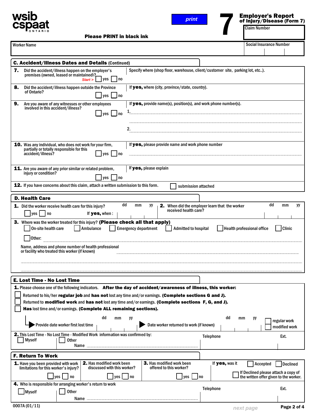



## Employer's Report **Employer's Report**<br>of Injury/Disease (Form 7)<br>Claim Number

Please PRINT in black ink

Worker Name Social Insurance Number Social Insurance Number

|    | <b>C. Accident/Illness Dates and Details (Continued)</b>                                                                                                                                                                                                                                                                                                                                                                                                                                                           |                                                       |                                                                                           |             |
|----|--------------------------------------------------------------------------------------------------------------------------------------------------------------------------------------------------------------------------------------------------------------------------------------------------------------------------------------------------------------------------------------------------------------------------------------------------------------------------------------------------------------------|-------------------------------------------------------|-------------------------------------------------------------------------------------------|-------------|
| 7. | Specify where (shop floor, warehouse, client/customer site, parking lot, etc).<br>Did the accident/illness happen on the employer's<br>premises (owned, leased or maintained)?<br>yes<br>l no<br>Start >                                                                                                                                                                                                                                                                                                           |                                                       |                                                                                           |             |
| 8. | If yes, where (city, province/state, country).<br>Did the accident/illness happen outside the Province<br>of Ontario?<br>$ $ yes<br>l no                                                                                                                                                                                                                                                                                                                                                                           |                                                       |                                                                                           |             |
| 9. | If $yes$ , provide name(s), position(s), and work phone number(s).<br>Are you aware of any witnesses or other employees<br>involved in this accident/illness?<br>1.<br>yes<br>no                                                                                                                                                                                                                                                                                                                                   |                                                       |                                                                                           |             |
|    | 2.                                                                                                                                                                                                                                                                                                                                                                                                                                                                                                                 |                                                       |                                                                                           |             |
|    | If yes, please provide name and work phone number<br><b>10.</b> Was any individual, who does not work for your firm,<br>partially or totally responsible for this<br>accident/illness?<br>yes<br>  no                                                                                                                                                                                                                                                                                                              |                                                       |                                                                                           |             |
|    | If yes, please explain<br>11. Are you aware of any prior similar or related problem,<br>injury or condition?<br>yes<br>  no                                                                                                                                                                                                                                                                                                                                                                                        |                                                       |                                                                                           |             |
|    | 12. If you have concerns about this claim, attach a written submission to this form.<br>submission attached                                                                                                                                                                                                                                                                                                                                                                                                        |                                                       |                                                                                           |             |
|    | <b>D. Health Care</b>                                                                                                                                                                                                                                                                                                                                                                                                                                                                                              |                                                       |                                                                                           |             |
|    | dd<br>mm<br>yу<br><b>1.</b> Did the worker receive health care for this injury?<br>received health care?<br>$ yes $ $ no$<br>If yes, when:                                                                                                                                                                                                                                                                                                                                                                         | <b>2.</b> When did the employer learn that the worker | dd<br>mm                                                                                  | yу          |
|    | Ambulance<br>On-site health care<br><b>Emergency department</b><br><b>Admitted to hospital</b><br>Other:<br>Name, address and phone number of health professional<br>or facility who treated this worker (if known)                                                                                                                                                                                                                                                                                                |                                                       | <b>Clinic</b><br>Health professional office                                               |             |
|    | E. Lost Time - No Lost Time                                                                                                                                                                                                                                                                                                                                                                                                                                                                                        |                                                       |                                                                                           |             |
| 4  | 1. Please choose one of the following indicators. <b>After the day of accident/awareness of illness, this worker:</b><br>Returned to his/her regular job and has not lost any time and/or earnings. (Complete sections G and J).<br>Returned to modified work and has not lost any time and/or earnings. (Complete sections F, G, and J).<br>Has lost time and/or earnings. (Complete ALL remaining sections).<br>dd<br>mm<br>уу<br>Provide date worker first lost time<br>Date worker returned to work (if known) | dd<br>mm                                              | уу<br>regular work<br>modified work                                                       |             |
|    | <b>2.</b> This Lost Time - No Lost Time - Modified Work information was confirmed by:<br><b>Myself</b><br><b>Other</b><br>Name                                                                                                                                                                                                                                                                                                                                                                                     | <b>Telephone</b>                                      | Ext.                                                                                      |             |
|    | <b>F. Return To Work</b>                                                                                                                                                                                                                                                                                                                                                                                                                                                                                           |                                                       |                                                                                           |             |
|    | 2. Has modified work been<br>3. Has modified work been<br>1. Have you been provided with work<br>discussed with this worker?<br>offered to this worker?<br>limitations for this worker's injury?<br>ves  <br>$\vert$ yes $\vert$<br> no<br>l no<br>∐yes                                                                                                                                                                                                                                                            | If yes, was it<br>  no                                | Accepted<br>If Declined please attach a copy of<br>the written offer given to the worker. | Declined    |
|    | 4. Who is responsible for arranging worker's return to work<br>Myself<br>Other<br>Name                                                                                                                                                                                                                                                                                                                                                                                                                             | Telephone                                             | Ext.                                                                                      |             |
|    | 0007A (01/11)                                                                                                                                                                                                                                                                                                                                                                                                                                                                                                      | novt nooro                                            |                                                                                           | Page 2 of 4 |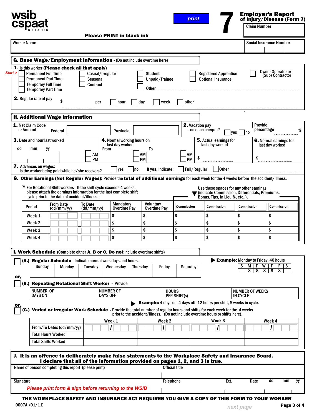|                                                                                                                                                                                               |                                              |                                                 |                                                                                                                        |                                                                                | print                        |                                                                                                                              |                                    | of Injury/Disease (Form 7)<br>Claim Number                                              |
|-----------------------------------------------------------------------------------------------------------------------------------------------------------------------------------------------|----------------------------------------------|-------------------------------------------------|------------------------------------------------------------------------------------------------------------------------|--------------------------------------------------------------------------------|------------------------------|------------------------------------------------------------------------------------------------------------------------------|------------------------------------|-----------------------------------------------------------------------------------------|
| <b>Worker Name</b>                                                                                                                                                                            |                                              |                                                 | <b>Please PRINT in black ink</b>                                                                                       |                                                                                |                              |                                                                                                                              |                                    | <b>Social Insurance Number</b>                                                          |
| G. Base Wage/Employment Information - (Do not include overtime here)                                                                                                                          |                                              |                                                 |                                                                                                                        |                                                                                |                              |                                                                                                                              |                                    |                                                                                         |
| -1<br>Is this worker (Please check all that apply)<br>Start ><br><b>Permanent Full Time</b><br><b>Permanent Part Time</b><br><b>Temporary Full Time</b><br><b>Temporary Part Time</b>         |                                              | Casual/Irregular<br>Seasonal<br><b>Contract</b> |                                                                                                                        | Student<br>Unpaid/Trainee<br><b>Other</b>                                      |                              | <b>Registered Apprentice</b><br><b>Optional Insurance</b>                                                                    |                                    | <b>Owner Operator or</b><br>(Sub) Contractor                                            |
| 2. Regular rate of pay                                                                                                                                                                        | \$                                           | per                                             | hour                                                                                                                   | day<br>week                                                                    | other                        |                                                                                                                              |                                    |                                                                                         |
| <b>H. Additional Wage Information</b>                                                                                                                                                         |                                              |                                                 |                                                                                                                        |                                                                                |                              |                                                                                                                              |                                    |                                                                                         |
| 1. Net Claim Code<br>or Amount                                                                                                                                                                | Federal                                      |                                                 | <b>Provincial</b>                                                                                                      |                                                                                | 2. Vacation pay              | - on each cheque?                                                                                                            | $\vert$ ves $\vert$ $\vert$ no     | Provide<br>percentage                                                                   |
| 3. Date and hour last worked<br>dd<br>mm<br>уy                                                                                                                                                |                                              | <b>From</b><br>AΜ                               | 4. Normal working hours on<br>last day worked                                                                          | To<br>AM                                                                       | AM                           | 5. Actual earnings for<br>last day worked                                                                                    |                                    | 6. Normal earnings for<br>last day worked                                               |
| <b>7.</b> Advances on wages:                                                                                                                                                                  |                                              | <b>PM</b>                                       |                                                                                                                        | PM                                                                             | <b>PM</b>                    |                                                                                                                              |                                    | \$                                                                                      |
| Is the worker being paid while he/she recovers?<br>8. Other Earnings (Not Regular Wages): Provide the total of additional earnings for each week for the 4 weeks before the accident/illness. |                                              |                                                 | <b>yes</b><br> no                                                                                                      | If yes, indicate:                                                              | Full/Regular                 | <b>Other</b>                                                                                                                 |                                    |                                                                                         |
| * For Rotational Shift workers - If the shift cycle exceeds 4 weeks,                                                                                                                          | cycle prior to the date of accident/illness. |                                                 | please attach the earnings information for the last complete shift                                                     |                                                                                |                              | Use these spaces for any other earnings<br>■ (indicate Commission, Differentials, Premiums,<br>Bonus, Tips, In Lieu %, etc). |                                    |                                                                                         |
| Period                                                                                                                                                                                        | <b>From Date</b><br>(dd/mm/yy)               | <b>To Date</b><br>(dd/mm/yy)                    | <b>Mandatory</b><br><b>Overtime Pay</b>                                                                                | <b>Voluntary</b><br>Overtime Pay                                               | Commission                   | Commission                                                                                                                   | Commission                         | Commission                                                                              |
| Week 1<br>Week 2                                                                                                                                                                              |                                              |                                                 | \$<br>\$                                                                                                               | \$<br>\$                                                                       | \$<br>\$                     | \$<br>\$                                                                                                                     | \$<br>\$                           | \$<br>\$                                                                                |
| Week 3                                                                                                                                                                                        |                                              |                                                 | \$                                                                                                                     | \$                                                                             | \$                           | \$                                                                                                                           | \$                                 | \$                                                                                      |
| Week 4                                                                                                                                                                                        |                                              |                                                 | ¢                                                                                                                      | ¢                                                                              |                              | \$                                                                                                                           | ¢                                  | ¢                                                                                       |
| I. Work Schedule (Complete either A, B or C. Do not include overtime shifts)                                                                                                                  |                                              |                                                 |                                                                                                                        |                                                                                |                              |                                                                                                                              |                                    |                                                                                         |
| Sunday                                                                                                                                                                                        | Monday                                       | <b>Tuesday</b>                                  | (A.) Regular Schedule - Indicate normal work days and hours.<br>Wednesdav                                              | Friday<br>Thursday                                                             | Saturday                     |                                                                                                                              | S<br>M<br>8                        | Example: Monday to Friday, 40 hours<br>W<br>$F \mid S$<br>8 <sup>1</sup><br>8<br>8<br>8 |
| or,<br>(B.) Repeating Rotational Shift Worker - Provide                                                                                                                                       |                                              |                                                 |                                                                                                                        |                                                                                |                              |                                                                                                                              |                                    |                                                                                         |
| <b>NUMBER OF</b><br><b>DAYS ON</b>                                                                                                                                                            |                                              |                                                 | <b>NUMBER OF</b><br><b>DAYS OFF</b>                                                                                    |                                                                                | <b>HOURS</b><br>PER SHIFT(s) |                                                                                                                              | <b>NUMBER OF WEEKS</b><br>IN CYCLE |                                                                                         |
|                                                                                                                                                                                               |                                              |                                                 |                                                                                                                        | <b>Example:</b> 4 days on, 4 days off, 12 hours per shift, 8 weeks in cycle.   |                              |                                                                                                                              |                                    |                                                                                         |
| (C.)                                                                                                                                                                                          |                                              |                                                 | Varied or Irregular Work Schedule - Provide the total number of regular hours and shifts for each week for the 4 weeks | prior to the accident/illness. (Do not include overtime hours or shifts here). |                              |                                                                                                                              |                                    |                                                                                         |
|                                                                                                                                                                                               |                                              |                                                 | Week 1                                                                                                                 | Week <sub>2</sub>                                                              |                              | Week <sub>3</sub>                                                                                                            |                                    | Week 4                                                                                  |
| <b>Total Hours Worked</b>                                                                                                                                                                     | From/To Dates (dd/mm/yy)                     |                                                 |                                                                                                                        |                                                                                |                              |                                                                                                                              |                                    |                                                                                         |
| <b>Total Shifts Worked</b>                                                                                                                                                                    |                                              |                                                 |                                                                                                                        |                                                                                |                              |                                                                                                                              |                                    |                                                                                         |
|                                                                                                                                                                                               |                                              |                                                 |                                                                                                                        |                                                                                |                              |                                                                                                                              |                                    |                                                                                         |
|                                                                                                                                                                                               |                                              |                                                 |                                                                                                                        | I declare that all of the information provided on pages 1, 2, and 3 is true.   |                              |                                                                                                                              |                                    |                                                                                         |
|                                                                                                                                                                                               |                                              |                                                 |                                                                                                                        |                                                                                |                              |                                                                                                                              |                                    |                                                                                         |
| J. It is an offence to deliberately make false statements to the Workplace Safety and Insurance Board.<br>Name of person completing this report (please print)                                |                                              |                                                 |                                                                                                                        |                                                                                | <b>Official title</b>        |                                                                                                                              |                                    |                                                                                         |

0007A (01/11) Page 3 of 3 **next page** Page 3 of 4